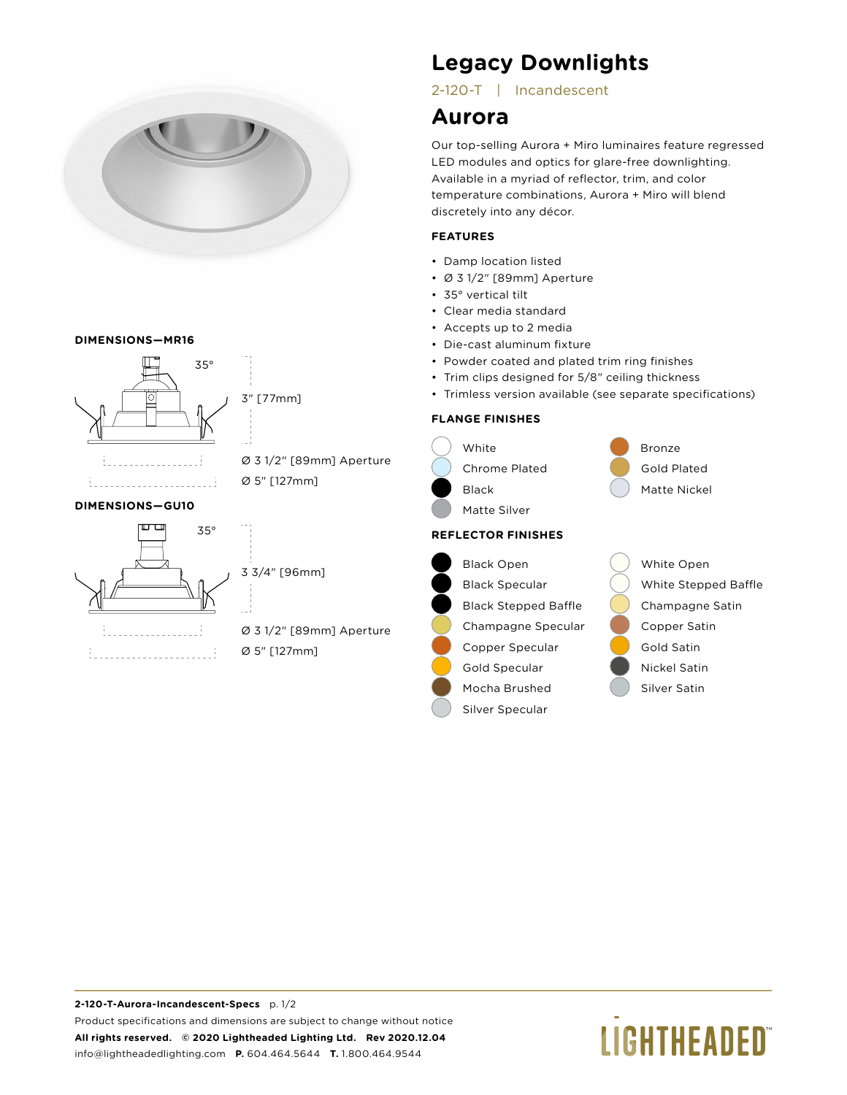

#### **DIMENSIONS—MR16**





# Ø 5" [127mm]

## 3 3/4" [96mm]

## Ø 3 1/2" [89mm] Aperture Ø 5" [127mm]

## **Legacy Downlights**

## 2-120-T | Incandescent

## **Aurora**

Our top-selling Aurora + Miro luminaires feature regressed LED modules and optics for glare-free downlighting. Available in a myriad of reflector, trim, and color temperature combinations, Aurora + Miro will blend discretely into any décor.

### **FEATURES**

- Damp location listed
- Ø 3 1/2" [89mm] Aperture
- 35° vertical tilt
- Clear media standard
- Accepts up to 2 media
- Die-cast aluminum fixture
- Powder coated and plated trim ring finishes
- Trim clips designed for 5/8" ceiling thickness
- Trimless version available (see separate specifications)

### **FLANGE FINISHES**



# **LIGHTHEADED**®